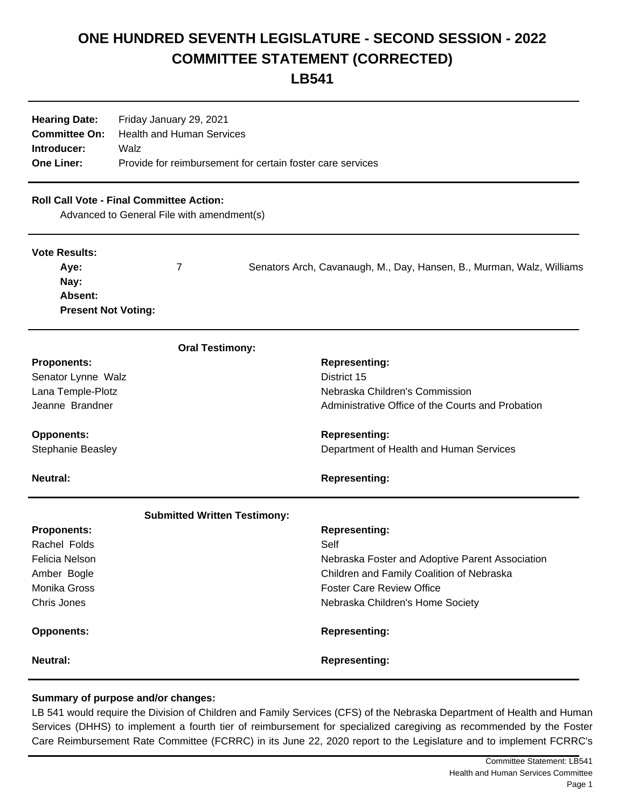## **ONE HUNDRED SEVENTH LEGISLATURE - SECOND SESSION - 2022 COMMITTEE STATEMENT (CORRECTED)**

**LB541**

|                   | <b>Hearing Date:</b> Friday January 29, 2021               |  |
|-------------------|------------------------------------------------------------|--|
|                   | <b>Committee On:</b> Health and Human Services             |  |
| Introducer:       | Walz                                                       |  |
| <b>One Liner:</b> | Provide for reimbursement for certain foster care services |  |

## **Roll Call Vote - Final Committee Action:**

Advanced to General File with amendment(s)

| <b>Vote Results:</b>       |                                                                       |
|----------------------------|-----------------------------------------------------------------------|
| Ave:                       | Senators Arch, Cavanaugh, M., Day, Hansen, B., Murman, Walz, Williams |
| Nay:                       |                                                                       |
| Absent:                    |                                                                       |
| <b>Present Not Voting:</b> |                                                                       |

| <b>Oral Testimony:</b>              |                                                   |
|-------------------------------------|---------------------------------------------------|
| <b>Proponents:</b>                  | <b>Representing:</b>                              |
| Senator Lynne Walz                  | District 15                                       |
| Lana Temple-Plotz                   | Nebraska Children's Commission                    |
| Jeanne Brandner                     | Administrative Office of the Courts and Probation |
| <b>Opponents:</b>                   | <b>Representing:</b>                              |
| <b>Stephanie Beasley</b>            | Department of Health and Human Services           |
| <b>Neutral:</b>                     | <b>Representing:</b>                              |
| <b>Submitted Written Testimony:</b> |                                                   |
| <b>Proponents:</b>                  | <b>Representing:</b>                              |
| Rachel Folds                        | Self                                              |
| Felicia Nelson                      | Nebraska Foster and Adoptive Parent Association   |
| Amber Bogle                         | Children and Family Coalition of Nebraska         |
| <b>Monika Gross</b>                 | <b>Foster Care Review Office</b>                  |
| Chris Jones                         | Nebraska Children's Home Society                  |
| <b>Opponents:</b>                   | <b>Representing:</b>                              |
| <b>Neutral:</b>                     | <b>Representing:</b>                              |

## **Summary of purpose and/or changes:**

LB 541 would require the Division of Children and Family Services (CFS) of the Nebraska Department of Health and Human Services (DHHS) to implement a fourth tier of reimbursement for specialized caregiving as recommended by the Foster Care Reimbursement Rate Committee (FCRRC) in its June 22, 2020 report to the Legislature and to implement FCRRC's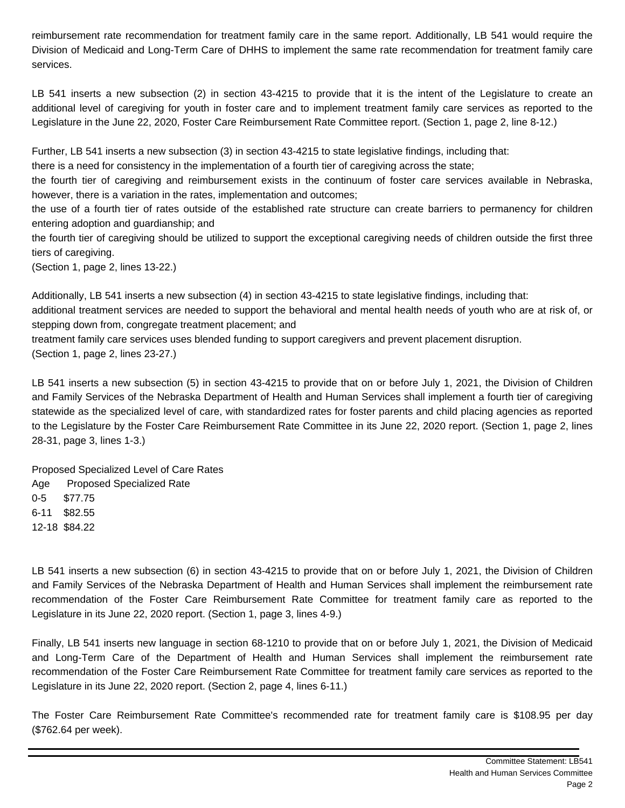reimbursement rate recommendation for treatment family care in the same report. Additionally, LB 541 would require the Division of Medicaid and Long-Term Care of DHHS to implement the same rate recommendation for treatment family care services.

LB 541 inserts a new subsection (2) in section 43-4215 to provide that it is the intent of the Legislature to create an additional level of caregiving for youth in foster care and to implement treatment family care services as reported to the Legislature in the June 22, 2020, Foster Care Reimbursement Rate Committee report. (Section 1, page 2, line 8-12.)

Further, LB 541 inserts a new subsection (3) in section 43-4215 to state legislative findings, including that:

there is a need for consistency in the implementation of a fourth tier of caregiving across the state;

the fourth tier of caregiving and reimbursement exists in the continuum of foster care services available in Nebraska, however, there is a variation in the rates, implementation and outcomes;

the use of a fourth tier of rates outside of the established rate structure can create barriers to permanency for children entering adoption and guardianship; and

the fourth tier of caregiving should be utilized to support the exceptional caregiving needs of children outside the first three tiers of caregiving.

(Section 1, page 2, lines 13-22.)

Additionally, LB 541 inserts a new subsection (4) in section 43-4215 to state legislative findings, including that:

additional treatment services are needed to support the behavioral and mental health needs of youth who are at risk of, or stepping down from, congregate treatment placement; and

treatment family care services uses blended funding to support caregivers and prevent placement disruption. (Section 1, page 2, lines 23-27.)

LB 541 inserts a new subsection (5) in section 43-4215 to provide that on or before July 1, 2021, the Division of Children and Family Services of the Nebraska Department of Health and Human Services shall implement a fourth tier of caregiving statewide as the specialized level of care, with standardized rates for foster parents and child placing agencies as reported to the Legislature by the Foster Care Reimbursement Rate Committee in its June 22, 2020 report. (Section 1, page 2, lines 28-31, page 3, lines 1-3.)

Proposed Specialized Level of Care Rates Age Proposed Specialized Rate 0-5 \$77.75 6-11 \$82.55 12-18 \$84.22

LB 541 inserts a new subsection (6) in section 43-4215 to provide that on or before July 1, 2021, the Division of Children and Family Services of the Nebraska Department of Health and Human Services shall implement the reimbursement rate recommendation of the Foster Care Reimbursement Rate Committee for treatment family care as reported to the Legislature in its June 22, 2020 report. (Section 1, page 3, lines 4-9.)

Finally, LB 541 inserts new language in section 68-1210 to provide that on or before July 1, 2021, the Division of Medicaid and Long-Term Care of the Department of Health and Human Services shall implement the reimbursement rate recommendation of the Foster Care Reimbursement Rate Committee for treatment family care services as reported to the Legislature in its June 22, 2020 report. (Section 2, page 4, lines 6-11.)

The Foster Care Reimbursement Rate Committee's recommended rate for treatment family care is \$108.95 per day (\$762.64 per week).